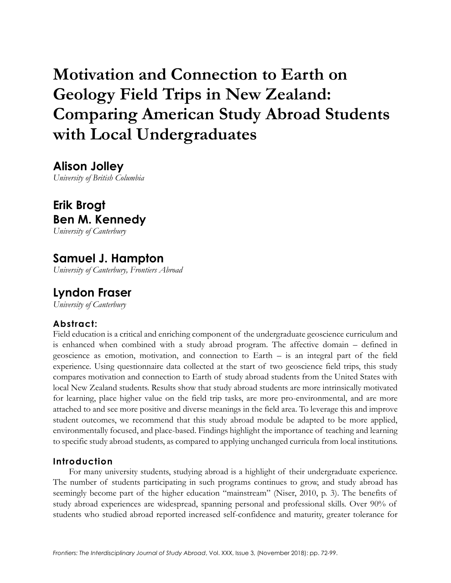# **Motivation and Connection to Earth on Geology Field Trips in New Zealand: Comparing American Study Abroad Students with Local Undergraduates**

**Alison Jolley** *University of British Columbia*

# **Erik Brogt Ben M. Kennedy**

*University of Canterbury*

## **Samuel J. Hampton**

*University of Canterbury, Frontiers Abroad*

## **Lyndon Fraser**

*University of Canterbury*

## **Abstract:**

Field education is a critical and enriching component of the undergraduate geoscience curriculum and is enhanced when combined with a study abroad program. The affective domain – defined in geoscience as emotion, motivation, and connection to Earth – is an integral part of the field experience. Using questionnaire data collected at the start of two geoscience field trips, this study compares motivation and connection to Earth of study abroad students from the United States with local New Zealand students. Results show that study abroad students are more intrinsically motivated for learning, place higher value on the field trip tasks, are more pro-environmental, and are more attached to and see more positive and diverse meanings in the field area. To leverage this and improve student outcomes, we recommend that this study abroad module be adapted to be more applied, environmentally focused, and place-based. Findings highlight the importance of teaching and learning to specific study abroad students, as compared to applying unchanged curricula from local institutions.

## **Introduction**

For many university students, studying abroad is a highlight of their undergraduate experience. The number of students participating in such programs continues to grow, and study abroad has seemingly become part of the higher education "mainstream" (Niser, 2010, p. 3). The benefits of study abroad experiences are widespread, spanning personal and professional skills. Over 90% of students who studied abroad reported increased self-confidence and maturity, greater tolerance for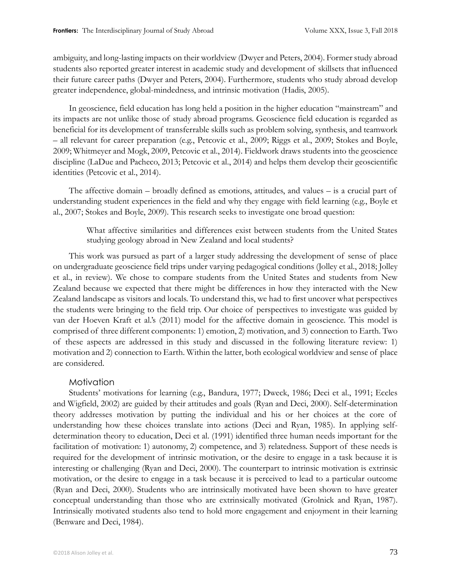ambiguity, and long-lasting impacts on their worldview (Dwyer and Peters, 2004). Former study abroad students also reported greater interest in academic study and development of skillsets that influenced their future career paths (Dwyer and Peters, 2004). Furthermore, students who study abroad develop greater independence, global-mindedness, and intrinsic motivation (Hadis, 2005).

In geoscience, field education has long held a position in the higher education "mainstream" and its impacts are not unlike those of study abroad programs. Geoscience field education is regarded as beneficial for its development of transferrable skills such as problem solving, synthesis, and teamwork – all relevant for career preparation (e.g., Petcovic et al., 2009; Riggs et al., 2009; Stokes and Boyle, 2009; Whitmeyer and Mogk, 2009, Petcovic et al., 2014). Fieldwork draws students into the geoscience discipline (LaDue and Pacheco, 2013; Petcovic et al., 2014) and helps them develop their geoscientific identities (Petcovic et al., 2014).

The affective domain – broadly defined as emotions, attitudes, and values – is a crucial part of understanding student experiences in the field and why they engage with field learning (e.g., Boyle et al., 2007; Stokes and Boyle, 2009). This research seeks to investigate one broad question:

What affective similarities and differences exist between students from the United States studying geology abroad in New Zealand and local students?

This work was pursued as part of a larger study addressing the development of sense of place on undergraduate geoscience field trips under varying pedagogical conditions (Jolley et al., 2018; Jolley et al., in review). We chose to compare students from the United States and students from New Zealand because we expected that there might be differences in how they interacted with the New Zealand landscape as visitors and locals. To understand this, we had to first uncover what perspectives the students were bringing to the field trip. Our choice of perspectives to investigate was guided by van der Hoeven Kraft et al.'s (2011) model for the affective domain in geoscience. This model is comprised of three different components: 1) emotion, 2) motivation, and 3) connection to Earth. Two of these aspects are addressed in this study and discussed in the following literature review: 1) motivation and 2) connection to Earth. Within the latter, both ecological worldview and sense of place are considered.

#### Motivation

Students' motivations for learning (e.g., Bandura, 1977; Dweck, 1986; Deci et al., 1991; Eccles and Wigfield, 2002) are guided by their attitudes and goals (Ryan and Deci, 2000). Self-determination theory addresses motivation by putting the individual and his or her choices at the core of understanding how these choices translate into actions (Deci and Ryan, 1985). In applying selfdetermination theory to education, Deci et al. (1991) identified three human needs important for the facilitation of motivation: 1) autonomy, 2) competence, and 3) relatedness. Support of these needs is required for the development of intrinsic motivation, or the desire to engage in a task because it is interesting or challenging (Ryan and Deci, 2000). The counterpart to intrinsic motivation is extrinsic motivation, or the desire to engage in a task because it is perceived to lead to a particular outcome (Ryan and Deci, 2000). Students who are intrinsically motivated have been shown to have greater conceptual understanding than those who are extrinsically motivated (Grolnick and Ryan, 1987). Intrinsically motivated students also tend to hold more engagement and enjoyment in their learning (Benware and Deci, 1984).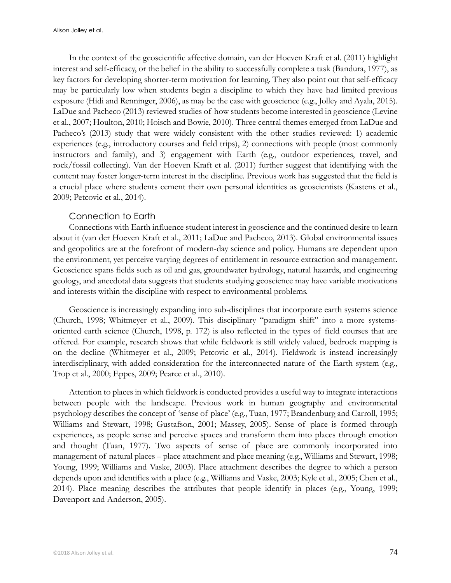Alison Jolley et al.

In the context of the geoscientific affective domain, van der Hoeven Kraft et al. (2011) highlight interest and self-efficacy, or the belief in the ability to successfully complete a task (Bandura, 1977), as key factors for developing shorter-term motivation for learning. They also point out that self-efficacy may be particularly low when students begin a discipline to which they have had limited previous exposure (Hidi and Renninger, 2006), as may be the case with geoscience (e.g., Jolley and Ayala, 2015). LaDue and Pacheco (2013) reviewed studies of how students become interested in geoscience (Levine et al., 2007; Houlton, 2010; Hoisch and Bowie, 2010). Three central themes emerged from LaDue and Pacheco's (2013) study that were widely consistent with the other studies reviewed: 1) academic experiences (e.g., introductory courses and field trips), 2) connections with people (most commonly instructors and family), and 3) engagement with Earth (e.g., outdoor experiences, travel, and rock/fossil collecting). Van der Hoeven Kraft et al. (2011) further suggest that identifying with the content may foster longer-term interest in the discipline. Previous work has suggested that the field is a crucial place where students cement their own personal identities as geoscientists (Kastens et al., 2009; Petcovic et al., 2014).

### Connection to Earth

Connections with Earth influence student interest in geoscience and the continued desire to learn about it (van der Hoeven Kraft et al., 2011; LaDue and Pacheco, 2013). Global environmental issues and geopolitics are at the forefront of modern-day science and policy. Humans are dependent upon the environment, yet perceive varying degrees of entitlement in resource extraction and management. Geoscience spans fields such as oil and gas, groundwater hydrology, natural hazards, and engineering geology, and anecdotal data suggests that students studying geoscience may have variable motivations and interests within the discipline with respect to environmental problems.

Geoscience is increasingly expanding into sub-disciplines that incorporate earth systems science (Church, 1998; Whitmeyer et al., 2009). This disciplinary "paradigm shift" into a more systemsoriented earth science (Church, 1998, p. 172) is also reflected in the types of field courses that are offered. For example, research shows that while fieldwork is still widely valued, bedrock mapping is on the decline (Whitmeyer et al., 2009; Petcovic et al., 2014). Fieldwork is instead increasingly interdisciplinary, with added consideration for the interconnected nature of the Earth system (e.g., Trop et al., 2000; Eppes, 2009; Pearce et al., 2010).

Attention to places in which fieldwork is conducted provides a useful way to integrate interactions between people with the landscape. Previous work in human geography and environmental psychology describes the concept of 'sense of place' (e.g., Tuan, 1977; Brandenburg and Carroll, 1995; Williams and Stewart, 1998; Gustafson, 2001; Massey, 2005). Sense of place is formed through experiences, as people sense and perceive spaces and transform them into places through emotion and thought (Tuan, 1977). Two aspects of sense of place are commonly incorporated into management of natural places – place attachment and place meaning (e.g., Williams and Stewart, 1998; Young, 1999; Williams and Vaske, 2003). Place attachment describes the degree to which a person depends upon and identifies with a place (e.g., Williams and Vaske, 2003; Kyle et al., 2005; Chen et al., 2014). Place meaning describes the attributes that people identify in places (e.g., Young, 1999; Davenport and Anderson, 2005).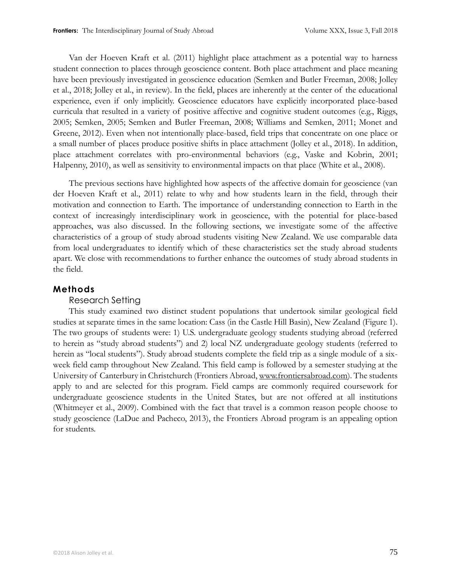Van der Hoeven Kraft et al. (2011) highlight place attachment as a potential way to harness student connection to places through geoscience content. Both place attachment and place meaning have been previously investigated in geoscience education (Semken and Butler Freeman, 2008; Jolley et al., 2018; Jolley et al., in review). In the field, places are inherently at the center of the educational experience, even if only implicitly. Geoscience educators have explicitly incorporated place-based curricula that resulted in a variety of positive affective and cognitive student outcomes (e.g., Riggs, 2005; Semken, 2005; Semken and Butler Freeman, 2008; Williams and Semken, 2011; Monet and Greene, 2012). Even when not intentionally place-based, field trips that concentrate on one place or a small number of places produce positive shifts in place attachment (Jolley et al., 2018). In addition, place attachment correlates with pro-environmental behaviors (e.g., Vaske and Kobrin, 2001; Halpenny, 2010), as well as sensitivity to environmental impacts on that place (White et al., 2008).

The previous sections have highlighted how aspects of the affective domain for geoscience (van der Hoeven Kraft et al., 2011) relate to why and how students learn in the field, through their motivation and connection to Earth. The importance of understanding connection to Earth in the context of increasingly interdisciplinary work in geoscience, with the potential for place-based approaches, was also discussed. In the following sections, we investigate some of the affective characteristics of a group of study abroad students visiting New Zealand. We use comparable data from local undergraduates to identify which of these characteristics set the study abroad students apart. We close with recommendations to further enhance the outcomes of study abroad students in the field.

## **Methods**

#### Research Setting

This study examined two distinct student populations that undertook similar geological field studies at separate times in the same location: Cass (in the Castle Hill Basin), New Zealand (Figure 1). The two groups of students were: 1) U.S. undergraduate geology students studying abroad (referred to herein as "study abroad students") and 2) local NZ undergraduate geology students (referred to herein as "local students"). Study abroad students complete the field trip as a single module of a sixweek field camp throughout New Zealand. This field camp is followed by a semester studying at the University of Canterbury in Christchurch (Frontiers Abroad, www.frontiersabroad.com). The students apply to and are selected for this program. Field camps are commonly required coursework for undergraduate geoscience students in the United States, but are not offered at all institutions (Whitmeyer et al., 2009). Combined with the fact that travel is a common reason people choose to study geoscience (LaDue and Pacheco, 2013), the Frontiers Abroad program is an appealing option for students.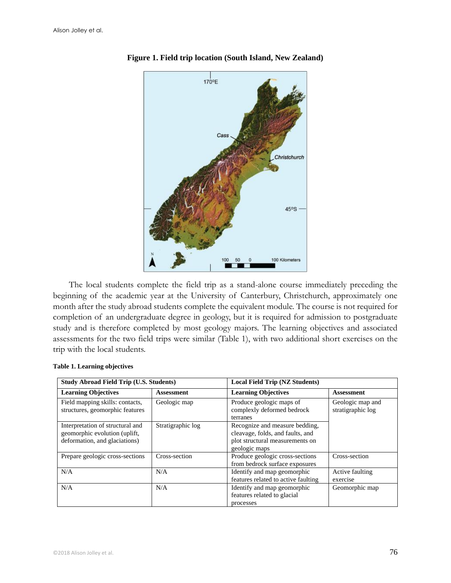

**Figure 1. Field trip location (South Island, New Zealand)**

The local students complete the field trip as a stand-alone course immediately preceding the beginning of the academic year at the University of Canterbury, Christchurch, approximately one month after the study abroad students complete the equivalent module. The course is not required for completion of an undergraduate degree in geology, but it is required for admission to postgraduate study and is therefore completed by most geology majors. The learning objectives and associated assessments for the two field trips were similar (Table 1), with two additional short exercises on the trip with the local students.

| <b>Study Abroad Field Trip (U.S. Students)</b>                                                     |                                                 |                                                                                                                        |                                       |
|----------------------------------------------------------------------------------------------------|-------------------------------------------------|------------------------------------------------------------------------------------------------------------------------|---------------------------------------|
| <b>Learning Objectives</b>                                                                         | <b>Learning Objectives</b><br><b>Assessment</b> |                                                                                                                        | <b>Assessment</b>                     |
| Field mapping skills: contacts,<br>structures, geomorphic features                                 | Geologic map                                    | Produce geologic maps of<br>complexly deformed bedrock<br>terranes                                                     | Geologic map and<br>stratigraphic log |
| Interpretation of structural and<br>geomorphic evolution (uplift,<br>deformation, and glaciations) | Stratigraphic log                               | Recognize and measure bedding,<br>cleavage, folds, and faults, and<br>plot structural measurements on<br>geologic maps |                                       |
| Prepare geologic cross-sections                                                                    | Cross-section                                   | Produce geologic cross-sections<br>from bedrock surface exposures                                                      | Cross-section                         |
| N/A                                                                                                | N/A                                             | Identify and map geomorphic<br>features related to active faulting                                                     | Active faulting<br>exercise           |
| N/A                                                                                                | N/A                                             | Identify and map geomorphic<br>features related to glacial<br>processes                                                | Geomorphic map                        |

#### **Table 1. Learning objectives**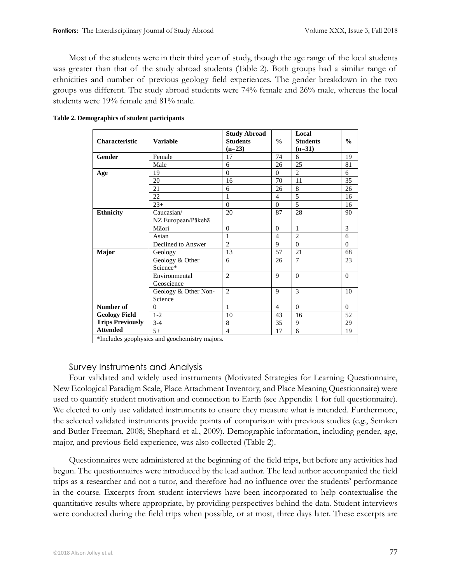Most of the students were in their third year of study, though the age range of the local students was greater than that of the study abroad students (Table 2). Both groups had a similar range of ethnicities and number of previous geology field experiences. The gender breakdown in the two groups was different. The study abroad students were 74% female and 26% male, whereas the local students were 19% female and 81% male.

| <b>Characteristic</b>   | <b>Variable</b>                               | <b>Study Abroad</b><br><b>Students</b><br>$(n=23)$ | $\frac{0}{0}$  | Local<br><b>Students</b><br>$(n=31)$ | $\frac{0}{0}$ |
|-------------------------|-----------------------------------------------|----------------------------------------------------|----------------|--------------------------------------|---------------|
| Gender                  | Female                                        | 17                                                 | 74             | 6                                    | 19            |
|                         | Male                                          | 6                                                  | 26             | 25                                   | 81            |
| Age                     | 19                                            | $\Omega$                                           | $\Omega$       | $\overline{2}$                       | 6             |
|                         | 20                                            | 16                                                 | 70             | 11                                   | 35            |
|                         | 21                                            | 6                                                  | 26             | 8                                    | 26            |
|                         | 22                                            | 1                                                  | $\overline{4}$ | 5                                    | 16            |
|                         | $23+$                                         | $\Omega$                                           | $\Omega$       | 5                                    | 16            |
| <b>Ethnicity</b>        | Caucasian/<br>NZ European/Pākehā              | 20                                                 | 87             | 28                                   | 90            |
|                         | Māori                                         | $\Omega$                                           | $\Omega$       | 1                                    | 3             |
|                         | Asian                                         | 1                                                  | $\overline{4}$ | $\overline{2}$                       | 6             |
|                         | Declined to Answer                            | $\overline{2}$                                     | 9              | $\theta$                             | $\Omega$      |
| Major                   | Geology                                       | 13                                                 | 57             | 21                                   | 68            |
|                         | Geology & Other<br>Science*                   | 6                                                  | 26             | $\overline{7}$                       | 23            |
|                         | Environmental<br>Geoscience                   | $\overline{2}$                                     | 9              | $\theta$                             | $\Omega$      |
|                         | Geology & Other Non-<br>Science               | $\overline{2}$                                     | 9              | $\mathcal{R}$                        | 10            |
| Number of               | $\Omega$                                      | $\mathbf{1}$                                       | $\overline{4}$ | $\Omega$                             | $\Omega$      |
| <b>Geology Field</b>    | $1 - 2$                                       | 10                                                 | 43             | 16                                   | 52            |
| <b>Trips Previously</b> | $3 - 4$                                       | 8                                                  | 35             | 9                                    | 29            |
| <b>Attended</b>         | $5+$                                          | $\overline{4}$                                     | 17             | 6                                    | 19            |
|                         | *Includes geophysics and geochemistry majors. |                                                    |                |                                      |               |

#### **Table 2. Demographics of student participants**

### Survey Instruments and Analysis

Four validated and widely used instruments (Motivated Strategies for Learning Questionnaire, New Ecological Paradigm Scale, Place Attachment Inventory, and Place Meaning Questionnaire) were used to quantify student motivation and connection to Earth (see Appendix 1 for full questionnaire). We elected to only use validated instruments to ensure they measure what is intended. Furthermore, the selected validated instruments provide points of comparison with previous studies (e.g., Semken and Butler Freeman, 2008; Shephard et al., 2009). Demographic information, including gender, age, major, and previous field experience, was also collected (Table 2).

Questionnaires were administered at the beginning of the field trips, but before any activities had begun. The questionnaires were introduced by the lead author. The lead author accompanied the field trips as a researcher and not a tutor, and therefore had no influence over the students' performance in the course. Excerpts from student interviews have been incorporated to help contextualise the quantitative results where appropriate, by providing perspectives behind the data. Student interviews were conducted during the field trips when possible, or at most, three days later. These excerpts are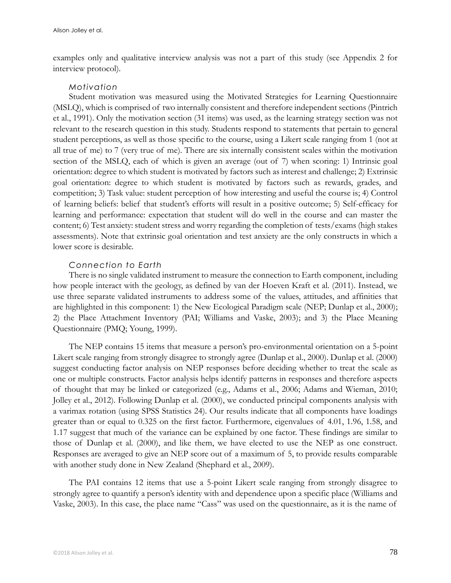examples only and qualitative interview analysis was not a part of this study (see Appendix 2 for interview protocol).

#### *Motivation*

Student motivation was measured using the Motivated Strategies for Learning Questionnaire (MSLQ), which is comprised of two internally consistent and therefore independent sections (Pintrich et al., 1991). Only the motivation section (31 items) was used, as the learning strategy section was not relevant to the research question in this study. Students respond to statements that pertain to general student perceptions, as well as those specific to the course, using a Likert scale ranging from 1 (not at all true of me) to 7 (very true of me). There are six internally consistent scales within the motivation section of the MSLQ, each of which is given an average (out of 7) when scoring: 1) Intrinsic goal orientation: degree to which student is motivated by factors such as interest and challenge; 2) Extrinsic goal orientation: degree to which student is motivated by factors such as rewards, grades, and competition; 3) Task value: student perception of how interesting and useful the course is; 4) Control of learning beliefs: belief that student's efforts will result in a positive outcome; 5) Self-efficacy for learning and performance: expectation that student will do well in the course and can master the content; 6) Test anxiety: student stress and worry regarding the completion of tests/exams (high stakes assessments). Note that extrinsic goal orientation and test anxiety are the only constructs in which a lower score is desirable.

#### *Connection to Earth*

There is no single validated instrument to measure the connection to Earth component, including how people interact with the geology, as defined by van der Hoeven Kraft et al. (2011). Instead, we use three separate validated instruments to address some of the values, attitudes, and affinities that are highlighted in this component: 1) the New Ecological Paradigm scale (NEP; Dunlap et al., 2000); 2) the Place Attachment Inventory (PAI; Williams and Vaske, 2003); and 3) the Place Meaning Questionnaire (PMQ; Young, 1999).

The NEP contains 15 items that measure a person's pro-environmental orientation on a 5-point Likert scale ranging from strongly disagree to strongly agree (Dunlap et al., 2000). Dunlap et al. (2000) suggest conducting factor analysis on NEP responses before deciding whether to treat the scale as one or multiple constructs. Factor analysis helps identify patterns in responses and therefore aspects of thought that may be linked or categorized (e.g., Adams et al., 2006; Adams and Wieman, 2010; Jolley et al., 2012). Following Dunlap et al. (2000), we conducted principal components analysis with a varimax rotation (using SPSS Statistics 24). Our results indicate that all components have loadings greater than or equal to 0.325 on the first factor. Furthermore, eigenvalues of 4.01, 1.96, 1.58, and 1.17 suggest that much of the variance can be explained by one factor. These findings are similar to those of Dunlap et al. (2000), and like them, we have elected to use the NEP as one construct. Responses are averaged to give an NEP score out of a maximum of 5, to provide results comparable with another study done in New Zealand (Shephard et al., 2009).

The PAI contains 12 items that use a 5-point Likert scale ranging from strongly disagree to strongly agree to quantify a person's identity with and dependence upon a specific place (Williams and Vaske, 2003). In this case, the place name "Cass" was used on the questionnaire, as it is the name of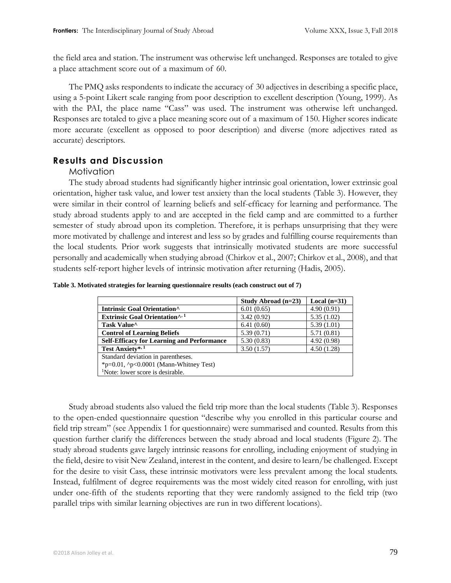the field area and station. The instrument was otherwise left unchanged. Responses are totaled to give a place attachment score out of a maximum of 60.

The PMQ asks respondents to indicate the accuracy of 30 adjectives in describing a specific place, using a 5-point Likert scale ranging from poor description to excellent description (Young, 1999). As with the PAI, the place name "Cass" was used. The instrument was otherwise left unchanged. Responses are totaled to give a place meaning score out of a maximum of 150. Higher scores indicate more accurate (excellent as opposed to poor description) and diverse (more adjectives rated as accurate) descriptors.

## **Results and Discussion**

#### Motivation

The study abroad students had significantly higher intrinsic goal orientation, lower extrinsic goal orientation, higher task value, and lower test anxiety than the local students (Table 3). However, they were similar in their control of learning beliefs and self-efficacy for learning and performance. The study abroad students apply to and are accepted in the field camp and are committed to a further semester of study abroad upon its completion. Therefore, it is perhaps unsurprising that they were more motivated by challenge and interest and less so by grades and fulfilling course requirements than the local students. Prior work suggests that intrinsically motivated students are more successful personally and academically when studying abroad (Chirkov et al., 2007; Chirkov et al., 2008), and that students self-report higher levels of intrinsic motivation after returning (Hadis, 2005).

|                                                                     | Study Abroad (n=23) | Local $(n=31)$ |
|---------------------------------------------------------------------|---------------------|----------------|
| Intrinsic Goal Orientation <sup>^</sup>                             | 6.01(0.65)          | 4.90(0.91)     |
| <b>Extrinsic Goal Orientation</b> <sup><math>\wedge</math>, 1</sup> | 3.42(0.92)          | 5.35(1.02)     |
| Task Value <sup>^</sup>                                             | 6.41(0.60)          | 5.39(1.01)     |
| <b>Control of Learning Beliefs</b>                                  | 5.39(0.71)          | 5.71(0.81)     |
| <b>Self-Efficacy for Learning and Performance</b>                   | 5.30(0.83)          | 4.92(0.98)     |
| Test Anxiety*, 1                                                    | 3.50(1.57)          | 4.50(1.28)     |
| Standard deviation in parentheses.                                  |                     |                |
| *p= $0.01$ , ^p< $0.0001$ (Mann-Whitney Test)                       |                     |                |
| <sup>1</sup> Note: lower score is desirable.                        |                     |                |

**Table 3. Motivated strategies for learning questionnaire results (each construct out of 7)** 

Study abroad students also valued the field trip more than the local students (Table 3). Responses to the open-ended questionnaire question "describe why you enrolled in this particular course and field trip stream" (see Appendix 1 for questionnaire) were summarised and counted. Results from this question further clarify the differences between the study abroad and local students (Figure 2). The study abroad students gave largely intrinsic reasons for enrolling, including enjoyment of studying in the field, desire to visit New Zealand, interest in the content, and desire to learn/be challenged. Except for the desire to visit Cass, these intrinsic motivators were less prevalent among the local students. Instead, fulfilment of degree requirements was the most widely cited reason for enrolling, with just under one-fifth of the students reporting that they were randomly assigned to the field trip (two parallel trips with similar learning objectives are run in two different locations).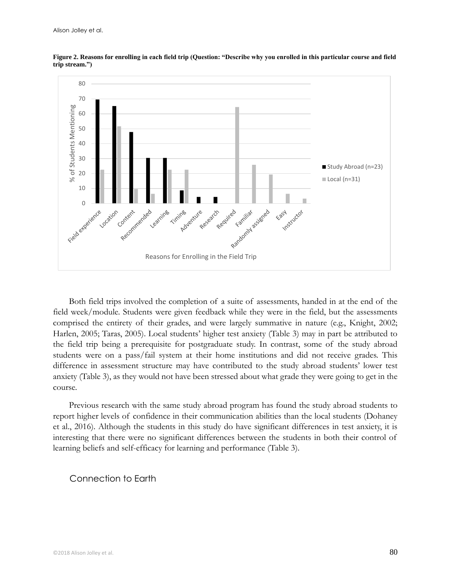

**Figure 2. Reasons for enrolling in each field trip (Question: "Describe why you enrolled in this particular course and field trip stream.")**

Both field trips involved the completion of a suite of assessments, handed in at the end of the field week/module. Students were given feedback while they were in the field, but the assessments comprised the entirety of their grades, and were largely summative in nature (e.g., Knight, 2002; Harlen, 2005; Taras, 2005). Local students' higher test anxiety (Table 3) may in part be attributed to the field trip being a prerequisite for postgraduate study. In contrast, some of the study abroad students were on a pass/fail system at their home institutions and did not receive grades. This difference in assessment structure may have contributed to the study abroad students' lower test anxiety (Table 3), as they would not have been stressed about what grade they were going to get in the course.

Previous research with the same study abroad program has found the study abroad students to report higher levels of confidence in their communication abilities than the local students (Dohaney et al., 2016). Although the students in this study do have significant differences in test anxiety, it is interesting that there were no significant differences between the students in both their control of learning beliefs and self-efficacy for learning and performance (Table 3).

Connection to Earth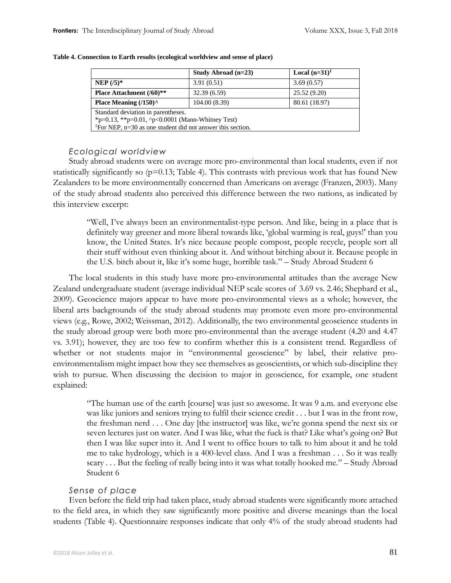|                                                                                                                                                                           | Study Abroad $(n=23)$ | Local $(n=31)^1$ |
|---------------------------------------------------------------------------------------------------------------------------------------------------------------------------|-----------------------|------------------|
| $NEP (5)$ *                                                                                                                                                               | 3.91(0.51)            | 3.69(0.57)       |
| Place Attachment (/60)**                                                                                                                                                  | 25.52(9.20)           |                  |
| Place Meaning $(150)^{\wedge}$                                                                                                                                            | 104.00 (8.39)         | 80.61 (18.97)    |
| Standard deviation in parentheses.<br>*p=0.13, **p=0.01, $\gamma$ -0.0001 (Mann-Whitney Test)<br><sup>1</sup> For NEP, $n=30$ as one student did not answer this section. |                       |                  |

#### **Table 4. Connection to Earth results (ecological worldview and sense of place)**

#### *Ecological worldview*

Study abroad students were on average more pro-environmental than local students, even if not statistically significantly so  $(p=0.13;$  Table 4). This contrasts with previous work that has found New Zealanders to be more environmentally concerned than Americans on average (Franzen, 2003). Many of the study abroad students also perceived this difference between the two nations, as indicated by this interview excerpt:

"Well, I've always been an environmentalist-type person. And like, being in a place that is definitely way greener and more liberal towards like, 'global warming is real, guys!' than you know, the United States. It's nice because people compost, people recycle, people sort all their stuff without even thinking about it. And without bitching about it. Because people in the U.S. bitch about it, like it's some huge, horrible task." – Study Abroad Student 6

The local students in this study have more pro-environmental attitudes than the average New Zealand undergraduate student (average individual NEP scale scores of 3.69 vs. 2.46; Shephard et al., 2009). Geoscience majors appear to have more pro-environmental views as a whole; however, the liberal arts backgrounds of the study abroad students may promote even more pro-environmental views (e.g., Rowe, 2002; Weissman, 2012). Additionally, the two environmental geoscience students in the study abroad group were both more pro-environmental than the average student (4.20 and 4.47 vs. 3.91); however, they are too few to confirm whether this is a consistent trend. Regardless of whether or not students major in "environmental geoscience" by label, their relative proenvironmentalism might impact how they see themselves as geoscientists, or which sub-discipline they wish to pursue. When discussing the decision to major in geoscience, for example, one student explained:

"The human use of the earth [course] was just so awesome. It was 9 a.m. and everyone else was like juniors and seniors trying to fulfil their science credit . . . but I was in the front row, the freshman nerd . . . One day [the instructor] was like, we're gonna spend the next six or seven lectures just on water. And I was like, what the fuck is that? Like what's going on? But then I was like super into it. And I went to office hours to talk to him about it and he told me to take hydrology, which is a 400-level class. And I was a freshman . . . So it was really scary . . . But the feeling of really being into it was what totally hooked me." – Study Abroad Student 6

#### *Sense of place*

Even before the field trip had taken place, study abroad students were significantly more attached to the field area, in which they saw significantly more positive and diverse meanings than the local students (Table 4). Questionnaire responses indicate that only 4% of the study abroad students had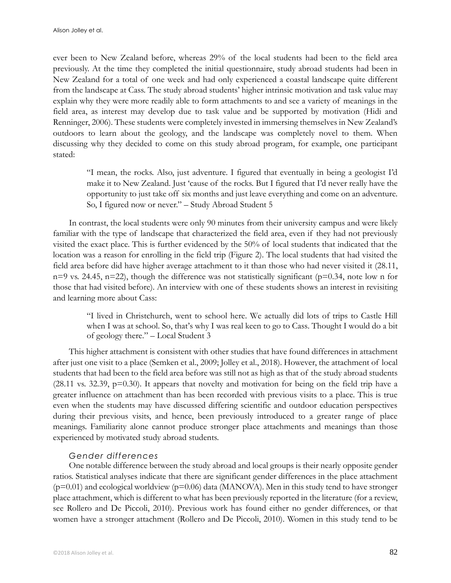ever been to New Zealand before, whereas 29% of the local students had been to the field area previously. At the time they completed the initial questionnaire, study abroad students had been in New Zealand for a total of one week and had only experienced a coastal landscape quite different from the landscape at Cass. The study abroad students' higher intrinsic motivation and task value may explain why they were more readily able to form attachments to and see a variety of meanings in the field area, as interest may develop due to task value and be supported by motivation (Hidi and Renninger, 2006). These students were completely invested in immersing themselves in New Zealand's outdoors to learn about the geology, and the landscape was completely novel to them. When discussing why they decided to come on this study abroad program, for example, one participant stated:

"I mean, the rocks. Also, just adventure. I figured that eventually in being a geologist I'd make it to New Zealand. Just 'cause of the rocks. But I figured that I'd never really have the opportunity to just take off six months and just leave everything and come on an adventure. So, I figured now or never." – Study Abroad Student 5

In contrast, the local students were only 90 minutes from their university campus and were likely familiar with the type of landscape that characterized the field area, even if they had not previously visited the exact place. This is further evidenced by the 50% of local students that indicated that the location was a reason for enrolling in the field trip (Figure 2). The local students that had visited the field area before did have higher average attachment to it than those who had never visited it (28.11, n=9 vs. 24.45, n=22), though the difference was not statistically significant ( $p=0.34$ , note low n for those that had visited before). An interview with one of these students shows an interest in revisiting and learning more about Cass:

"I lived in Christchurch, went to school here. We actually did lots of trips to Castle Hill when I was at school. So, that's why I was real keen to go to Cass. Thought I would do a bit of geology there." – Local Student 3

This higher attachment is consistent with other studies that have found differences in attachment after just one visit to a place (Semken et al., 2009; Jolley et al., 2018). However, the attachment of local students that had been to the field area before was still not as high as that of the study abroad students  $(28.11 \text{ vs. } 32.39, \text{ p} = 0.30)$ . It appears that novelty and motivation for being on the field trip have a greater influence on attachment than has been recorded with previous visits to a place. This is true even when the students may have discussed differing scientific and outdoor education perspectives during their previous visits, and hence, been previously introduced to a greater range of place meanings. Familiarity alone cannot produce stronger place attachments and meanings than those experienced by motivated study abroad students.

## *Gender differences*

One notable difference between the study abroad and local groups is their nearly opposite gender ratios. Statistical analyses indicate that there are significant gender differences in the place attachment  $(p=0.01)$  and ecological worldview  $(p=0.06)$  data (MANOVA). Men in this study tend to have stronger place attachment, which is different to what has been previously reported in the literature (for a review, see Rollero and De Piccoli, 2010). Previous work has found either no gender differences, or that women have a stronger attachment (Rollero and De Piccoli, 2010). Women in this study tend to be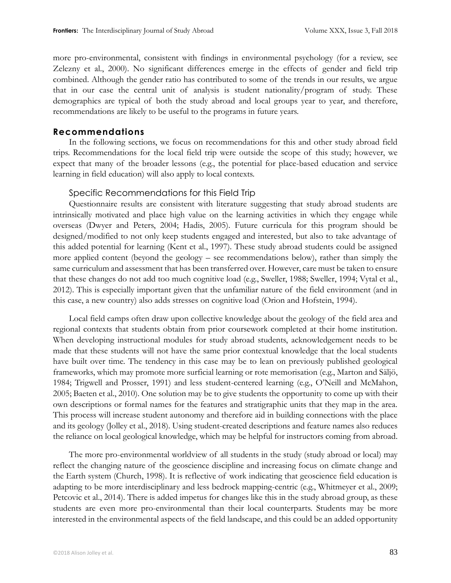more pro-environmental, consistent with findings in environmental psychology (for a review, see Zelezny et al., 2000). No significant differences emerge in the effects of gender and field trip combined. Although the gender ratio has contributed to some of the trends in our results, we argue that in our case the central unit of analysis is student nationality/program of study. These demographics are typical of both the study abroad and local groups year to year, and therefore, recommendations are likely to be useful to the programs in future years.

#### **Recommendations**

In the following sections, we focus on recommendations for this and other study abroad field trips. Recommendations for the local field trip were outside the scope of this study; however, we expect that many of the broader lessons (e.g., the potential for place-based education and service learning in field education) will also apply to local contexts.

#### Specific Recommendations for this Field Trip

Questionnaire results are consistent with literature suggesting that study abroad students are intrinsically motivated and place high value on the learning activities in which they engage while overseas (Dwyer and Peters, 2004; Hadis, 2005). Future curricula for this program should be designed/modified to not only keep students engaged and interested, but also to take advantage of this added potential for learning (Kent et al., 1997). These study abroad students could be assigned more applied content (beyond the geology – see recommendations below), rather than simply the same curriculum and assessment that has been transferred over. However, care must be taken to ensure that these changes do not add too much cognitive load (e.g., Sweller, 1988; Sweller, 1994; Vytal et al., 2012). This is especially important given that the unfamiliar nature of the field environment (and in this case, a new country) also adds stresses on cognitive load (Orion and Hofstein, 1994).

Local field camps often draw upon collective knowledge about the geology of the field area and regional contexts that students obtain from prior coursework completed at their home institution. When developing instructional modules for study abroad students, acknowledgement needs to be made that these students will not have the same prior contextual knowledge that the local students have built over time. The tendency in this case may be to lean on previously published geological frameworks, which may promote more surficial learning or rote memorisation (e.g., Marton and Säljö, 1984; Trigwell and Prosser, 1991) and less student-centered learning (e.g., O'Neill and McMahon, 2005; Baeten et al., 2010). One solution may be to give students the opportunity to come up with their own descriptions or formal names for the features and stratigraphic units that they map in the area. This process will increase student autonomy and therefore aid in building connections with the place and its geology (Jolley et al., 2018). Using student-created descriptions and feature names also reduces the reliance on local geological knowledge, which may be helpful for instructors coming from abroad.

The more pro-environmental worldview of all students in the study (study abroad or local) may reflect the changing nature of the geoscience discipline and increasing focus on climate change and the Earth system (Church, 1998). It is reflective of work indicating that geoscience field education is adapting to be more interdisciplinary and less bedrock mapping-centric (e.g., Whitmeyer et al., 2009; Petcovic et al., 2014). There is added impetus for changes like this in the study abroad group, as these students are even more pro-environmental than their local counterparts. Students may be more interested in the environmental aspects of the field landscape, and this could be an added opportunity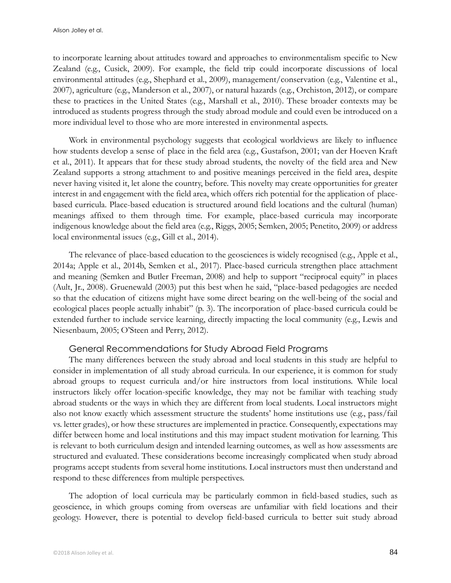to incorporate learning about attitudes toward and approaches to environmentalism specific to New Zealand (e.g., Cusick, 2009). For example, the field trip could incorporate discussions of local environmental attitudes (e.g., Shephard et al., 2009), management/conservation (e.g., Valentine et al., 2007), agriculture (e.g., Manderson et al., 2007), or natural hazards (e.g., Orchiston, 2012), or compare these to practices in the United States (e.g., Marshall et al., 2010). These broader contexts may be introduced as students progress through the study abroad module and could even be introduced on a more individual level to those who are more interested in environmental aspects.

Work in environmental psychology suggests that ecological worldviews are likely to influence how students develop a sense of place in the field area (e.g., Gustafson, 2001; van der Hoeven Kraft et al., 2011). It appears that for these study abroad students, the novelty of the field area and New Zealand supports a strong attachment to and positive meanings perceived in the field area, despite never having visited it, let alone the country, before. This novelty may create opportunities for greater interest in and engagement with the field area, which offers rich potential for the application of placebased curricula. Place-based education is structured around field locations and the cultural (human) meanings affixed to them through time. For example, place-based curricula may incorporate indigenous knowledge about the field area (e.g., Riggs, 2005; Semken, 2005; Penetito, 2009) or address local environmental issues (e.g., Gill et al., 2014).

The relevance of place-based education to the geosciences is widely recognised (e.g., Apple et al., 2014a; Apple et al., 2014b, Semken et al., 2017). Place-based curricula strengthen place attachment and meaning (Semken and Butler Freeman, 2008) and help to support "reciprocal equity" in places (Ault, Jr., 2008). Gruenewald (2003) put this best when he said, "place-based pedagogies are needed so that the education of citizens might have some direct bearing on the well-being of the social and ecological places people actually inhabit" (p. 3). The incorporation of place-based curricula could be extended further to include service learning, directly impacting the local community (e.g., Lewis and Niesenbaum, 2005; O'Steen and Perry, 2012).

### General Recommendations for Study Abroad Field Programs

The many differences between the study abroad and local students in this study are helpful to consider in implementation of all study abroad curricula. In our experience, it is common for study abroad groups to request curricula and/or hire instructors from local institutions. While local instructors likely offer location-specific knowledge, they may not be familiar with teaching study abroad students or the ways in which they are different from local students. Local instructors might also not know exactly which assessment structure the students' home institutions use (e.g., pass/fail vs. letter grades), or how these structures are implemented in practice. Consequently, expectations may differ between home and local institutions and this may impact student motivation for learning. This is relevant to both curriculum design and intended learning outcomes, as well as how assessments are structured and evaluated. These considerations become increasingly complicated when study abroad programs accept students from several home institutions. Local instructors must then understand and respond to these differences from multiple perspectives.

The adoption of local curricula may be particularly common in field-based studies, such as geoscience, in which groups coming from overseas are unfamiliar with field locations and their geology. However, there is potential to develop field-based curricula to better suit study abroad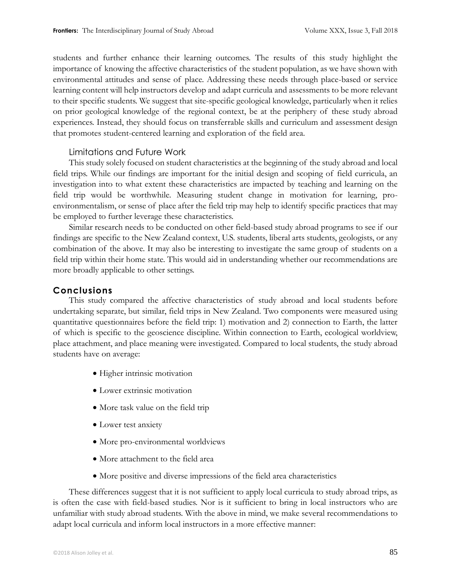students and further enhance their learning outcomes. The results of this study highlight the importance of knowing the affective characteristics of the student population, as we have shown with environmental attitudes and sense of place. Addressing these needs through place-based or service learning content will help instructors develop and adapt curricula and assessments to be more relevant to their specific students. We suggest that site-specific geological knowledge, particularly when it relies on prior geological knowledge of the regional context, be at the periphery of these study abroad experiences. Instead, they should focus on transferrable skills and curriculum and assessment design that promotes student-centered learning and exploration of the field area.

### Limitations and Future Work

This study solely focused on student characteristics at the beginning of the study abroad and local field trips. While our findings are important for the initial design and scoping of field curricula, an investigation into to what extent these characteristics are impacted by teaching and learning on the field trip would be worthwhile. Measuring student change in motivation for learning, proenvironmentalism, or sense of place after the field trip may help to identify specific practices that may be employed to further leverage these characteristics.

Similar research needs to be conducted on other field-based study abroad programs to see if our findings are specific to the New Zealand context, U.S. students, liberal arts students, geologists, or any combination of the above. It may also be interesting to investigate the same group of students on a field trip within their home state. This would aid in understanding whether our recommendations are more broadly applicable to other settings.

## **Conclusions**

This study compared the affective characteristics of study abroad and local students before undertaking separate, but similar, field trips in New Zealand. Two components were measured using quantitative questionnaires before the field trip: 1) motivation and 2) connection to Earth, the latter of which is specific to the geoscience discipline. Within connection to Earth, ecological worldview, place attachment, and place meaning were investigated. Compared to local students, the study abroad students have on average:

- Higher intrinsic motivation
- Lower extrinsic motivation
- More task value on the field trip
- Lower test anxiety
- More pro-environmental worldviews
- More attachment to the field area
- More positive and diverse impressions of the field area characteristics

These differences suggest that it is not sufficient to apply local curricula to study abroad trips, as is often the case with field-based studies. Nor is it sufficient to bring in local instructors who are unfamiliar with study abroad students. With the above in mind, we make several recommendations to adapt local curricula and inform local instructors in a more effective manner: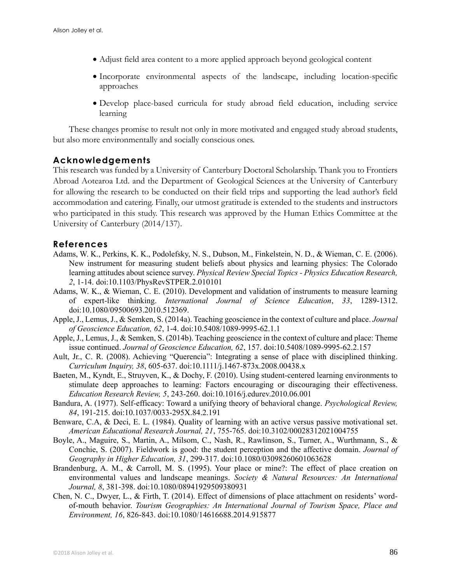- Adjust field area content to a more applied approach beyond geological content
- Incorporate environmental aspects of the landscape, including location-specific approaches
- Develop place-based curricula for study abroad field education, including service learning

These changes promise to result not only in more motivated and engaged study abroad students, but also more environmentally and socially conscious ones.

## **Acknowledgements**

This research was funded by a University of Canterbury Doctoral Scholarship. Thank you to Frontiers Abroad Aotearoa Ltd. and the Department of Geological Sciences at the University of Canterbury for allowing the research to be conducted on their field trips and supporting the lead author's field accommodation and catering. Finally, our utmost gratitude is extended to the students and instructors who participated in this study. This research was approved by the Human Ethics Committee at the University of Canterbury (2014/137).

## **References**

- Adams, W. K., Perkins, K. K., Podolefsky, N. S., Dubson, M., Finkelstein, N. D., & Wieman, C. E. (2006). New instrument for measuring student beliefs about physics and learning physics: The Colorado learning attitudes about science survey. *Physical Review Special Topics - Physics Education Research, 2*, 1-14. doi:10.1103/PhysRevSTPER.2.010101
- Adams, W. K., & Wieman, C. E. (2010). Development and validation of instruments to measure learning of expert-like thinking. *International Journal of Science Education*, *33*, 1289-1312. doi:10.1080/09500693.2010.512369.
- Apple, J., Lemus, J., & Semken, S. (2014a). Teaching geoscience in the context of culture and place. *Journal of Geoscience Education, 62*, 1-4. doi:10.5408/1089-9995-62.1.1
- Apple, J., Lemus, J., & Semken, S. (2014b). Teaching geoscience in the context of culture and place: Theme issue continued. *Journal of Geoscience Education, 62*, 157. doi:10.5408/1089-9995-62.2.157
- Ault, Jr., C. R. (2008). Achieving "Querencia": Integrating a sense of place with disciplined thinking. *Curriculum Inquiry, 38*, 605-637. doi:10.1111/j.1467-873x.2008.00438.x
- Baeten, M., Kyndt, E., Struyven, K., & Dochy, F. (2010). Using student-centered learning environments to stimulate deep approaches to learning: Factors encouraging or discouraging their effectiveness. *Education Research Review, 5*, 243-260. doi:10.1016/j.edurev.2010.06.001
- Bandura, A. (1977). Self-efficacy: Toward a unifying theory of behavioral change. *Psychological Review, 84*, 191-215. doi:10.1037/0033-295X.84.2.191
- Benware, C.A, & Deci, E. L. (1984). Quality of learning with an active versus passive motivational set. *American Educational Research Journal, 21*, 755-765. doi:10.3102/00028312021004755
- Boyle, A., Maguire, S., Martin, A., Milsom, C., Nash, R., Rawlinson, S., Turner, A., Wurthmann, S., & Conchie, S. (2007). Fieldwork is good: the student perception and the affective domain. *Journal of Geography in Higher Education, 31*, 299-317. doi:10.1080/03098260601063628
- Brandenburg, A. M., & Carroll, M. S. (1995). Your place or mine?: The effect of place creation on environmental values and landscape meanings. *Society & Natural Resources: An International Journal, 8*, 381-398. doi:10.1080/08941929509380931
- Chen, N. C., Dwyer, L., & Firth, T. (2014). Effect of dimensions of place attachment on residents' wordof-mouth behavior. *Tourism Geographies: An International Journal of Tourism Space, Place and Environment, 16*, 826-843. doi:10.1080/14616688.2014.915877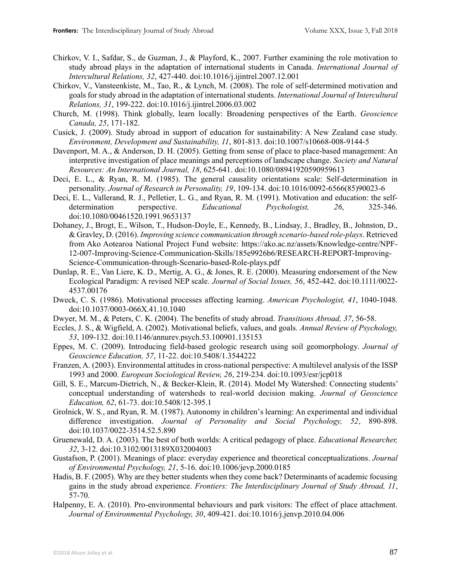- Chirkov, V. I., Safdar, S., de Guzman, J., & Playford, K., 2007. Further examining the role motivation to study abroad plays in the adaptation of international students in Canada. *International Journal of Intercultural Relations, 32*, 427-440. doi:10.1016/j.ijintrel.2007.12.001
- Chirkov, V., Vansteenkiste, M., Tao, R., & Lynch, M. (2008). The role of self-determined motivation and goals for study abroad in the adaptation of international students. *International Journal of Intercultural Relations, 31*, 199-222. doi:10.1016/j.ijintrel.2006.03.002
- Church, M. (1998). Think globally, learn locally: Broadening perspectives of the Earth. *Geoscience Canada, 25*, 171-182.
- Cusick, J. (2009). Study abroad in support of education for sustainability: A New Zealand case study. *Environment, Development and Sustainability, 11*, 801-813. doi:10.1007/s10668-008-9144-5
- Davenport, M. A., & Anderson, D. H. (2005). Getting from sense of place to place-based management: An interpretive investigation of place meanings and perceptions of landscape change. *Society and Natural Resources: An International Journal, 18*, 625-641. doi:10.1080/08941920590959613
- Deci, E. L., & Ryan, R. M. (1985). The general causality orientations scale: Self-determination in personality. *Journal of Research in Personality, 19*, 109-134. doi:10.1016/0092-6566(85)90023-6
- Deci, E. L., Vallerand, R. J., Pelletier, L. G., and Ryan, R. M. (1991). Motivation and education: the selfdetermination perspective. *Educational Psychologist, 26*, 325-346. doi:10.1080/00461520.1991.9653137
- Dohaney, J., Brogt, E., Wilson, T., Hudson-Doyle, E., Kennedy, B., Lindsay, J., Bradley, B., Johnston, D., & Gravley, D. (2016). *Improving science communication through scenario-based role-plays*. Retrieved from Ako Aotearoa National Project Fund website: https://ako.ac.nz/assets/Knowledge-centre/NPF-12-007-Improving-Science-Communication-Skills/185e9926b6/RESEARCH-REPORT-Improving-Science-Communication-through-Scenario-based-Role-plays.pdf
- Dunlap, R. E., Van Liere, K. D., Mertig, A. G., & Jones, R. E. (2000). Measuring endorsement of the New Ecological Paradigm: A revised NEP scale. *Journal of Social Issues, 56*, 452-442. doi:10.1111/0022- 4537.00176
- Dweck, C. S. (1986). Motivational processes affecting learning. *American Psychologist, 41*, 1040-1048. doi:10.1037/0003-066X.41.10.1040
- Dwyer, M. M., & Peters, C. K. (2004). The benefits of study abroad. *Transitions Abroad, 37*, 56-58.
- Eccles, J. S., & Wigfield, A. (2002). Motivational beliefs, values, and goals. *Annual Review of Psychology, 53*, 109-132. doi:10.1146/annurev.psych.53.100901.135153
- Eppes, M. C. (2009). Introducing field-based geologic research using soil geomorphology. *Journal of Geoscience Education, 57*, 11-22. doi:10.5408/1.3544222
- Franzen, A. (2003). Environmental attitudes in cross-national perspective: A multilevel analysis of the ISSP 1993 and 2000. *European Sociological Review, 26*, 219-234. doi:10.1093/esr/jcp018
- Gill, S. E., Marcum-Dietrich, N., & Becker-Klein, R. (2014). Model My Watershed: Connecting students' conceptual understanding of watersheds to real-world decision making. *Journal of Geoscience Education, 62*, 61-73. doi:10.5408/12-395.1
- Grolnick, W. S., and Ryan, R. M. (1987). Autonomy in children's learning: An experimental and individual difference investigation. *Journal of Personality and Social Psychology, 52*, 890-898. doi:10.1037/0022-3514.52.5.890
- Gruenewald, D. A. (2003). The best of both worlds: A critical pedagogy of place. *Educational Researcher, 32*, 3-12. doi:10.3102/0013189X032004003
- Gustafson, P. (2001). Meanings of place: everyday experience and theoretical conceptualizations. *Journal of Environmental Psychology, 21*, 5-16. doi:10.1006/jevp.2000.0185
- Hadis, B. F. (2005). Why are they better students when they come back? Determinants of academic focusing gains in the study abroad experience. *Frontiers: The Interdisciplinary Journal of Study Abroad, 11*, 57-70.
- Halpenny, E. A. (2010). Pro-environmental behaviours and park visitors: The effect of place attachment. *Journal of Environmental Psychology, 30*, 409-421. doi:10.1016/j.jenvp.2010.04.006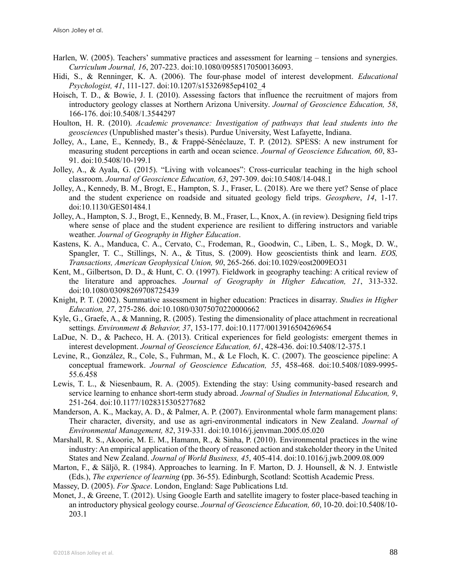- Harlen, W. (2005). Teachers' summative practices and assessment for learning tensions and synergies. *Curriculum Journal, 16*, 207-223. doi:10.1080/09585170500136093.
- Hidi, S., & Renninger, K. A. (2006). The four-phase model of interest development. *Educational Psychologist, 41*, 111-127. doi:10.1207/s15326985ep4102\_4
- Hoisch, T. D., & Bowie, J. I. (2010). Assessing factors that influence the recruitment of majors from introductory geology classes at Northern Arizona University. *Journal of Geoscience Education, 58*, 166-176. doi:10.5408/1.3544297
- Houlton, H. R. (2010). *Academic provenance: Investigation of pathways that lead students into the geosciences* (Unpublished master's thesis). Purdue University, West Lafayette, Indiana.
- Jolley, A., Lane, E., Kennedy, B., & Frappé-Sénéclauze, T. P. (2012). SPESS: A new instrument for measuring student perceptions in earth and ocean science. *Journal of Geoscience Education, 60*, 83- 91. doi:10.5408/10-199.1
- Jolley, A., & Ayala, G. (2015). "Living with volcanoes": Cross-curricular teaching in the high school classroom. *Journal of Geoscience Education, 63*, 297-309. doi:10.5408/14-048.1
- Jolley, A., Kennedy, B. M., Brogt, E., Hampton, S. J., Fraser, L. (2018). Are we there yet? Sense of place and the student experience on roadside and situated geology field trips. *Geosphere*, *14*, 1-17. doi:10.1130/GES01484.1
- Jolley, A., Hampton, S. J., Brogt, E., Kennedy, B. M., Fraser, L., Knox, A. (in review). Designing field trips where sense of place and the student experience are resilient to differing instructors and variable weather. *Journal of Geography in Higher Education*.
- Kastens, K. A., Manduca, C. A., Cervato, C., Frodeman, R., Goodwin, C., Liben, L. S., Mogk, D. W., Spangler, T. C., Stillings, N. A., & Titus, S. (2009). How geoscientists think and learn. *EOS, Transactions, American Geophysical Union, 90*, 265-266. doi:10.1029/eost2009EO31
- Kent, M., Gilbertson, D. D., & Hunt, C. O. (1997). Fieldwork in geography teaching: A critical review of the literature and approaches. *Journal of Geography in Higher Education, 21*, 313-332. doi:10.1080/03098269708725439
- Knight, P. T. (2002). Summative assessment in higher education: Practices in disarray. *Studies in Higher Education, 27*, 275-286. doi:10.1080/03075070220000662
- Kyle, G., Graefe, A., & Manning, R. (2005). Testing the dimensionality of place attachment in recreational settings. *Environment & Behavior, 37*, 153-177. doi:10.1177/0013916504269654
- LaDue, N. D., & Pacheco, H. A. (2013). Critical experiences for field geologists: emergent themes in interest development. *Journal of Geoscience Education, 61*, 428-436. doi:10.5408/12-375.1
- Levine, R., González, R., Cole, S., Fuhrman, M., & Le Floch, K. C. (2007). The geoscience pipeline: A conceptual framework. *Journal of Geoscience Education, 55*, 458-468. doi:10.5408/1089-9995- 55.6.458
- Lewis, T. L., & Niesenbaum, R. A. (2005). Extending the stay: Using community-based research and service learning to enhance short-term study abroad. *Journal of Studies in International Education, 9*, 251-264. doi:10.1177/1028315305277682
- Manderson, A. K., Mackay, A. D., & Palmer, A. P. (2007). Environmental whole farm management plans: Their character, diversity, and use as agri-environmental indicators in New Zealand. *Journal of Environmental Management, 82*, 319-331. doi:10.1016/j.jenvman.2005.05.020
- Marshall, R. S., Akoorie, M. E. M., Hamann, R., & Sinha, P. (2010). Environmental practices in the wine industry: An empirical application of the theory of reasoned action and stakeholder theory in the United States and New Zealand. *Journal of World Business, 45*, 405-414. doi:10.1016/j.jwb.2009.08.009
- Marton, F., & Säljö, R. (1984). Approaches to learning. In F. Marton, D. J. Hounsell, & N. J. Entwistle (Eds.), *The experience of learning* (pp. 36-55). Edinburgh, Scotland: Scottish Academic Press.
- Massey, D. (2005). *For Space*. London, England: Sage Publications Ltd.
- Monet, J., & Greene, T. (2012). Using Google Earth and satellite imagery to foster place-based teaching in an introductory physical geology course. *Journal of Geoscience Education, 60*, 10-20. doi:10.5408/10- 203.1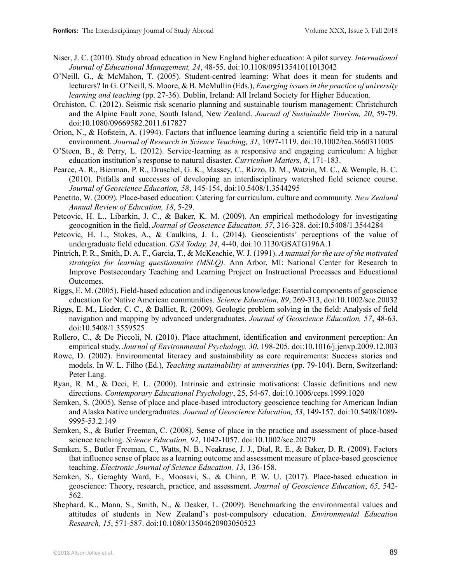- Niser, J. C. (2010). Study abroad education in New England higher education: A pilot survey. *International Journal of Educational Management, 24*, 48-55. doi:10.1108/09513541011013042
- O'Neill, G., & McMahon, T. (2005). Student-centred learning: What does it mean for students and lecturers? In G. O'Neill, S. Moore, & B. McMullin (Eds.), *Emerging issues in the practice of university learning and teaching* (pp. 27-36). Dublin, Ireland: All Ireland Society for Higher Education.
- Orchiston, C. (2012). Seismic risk scenario planning and sustainable tourism management: Christchurch and the Alpine Fault zone, South Island, New Zealand. *Journal of Sustainable Tourism, 20*, 59-79. doi:10.1080/09669582.2011.617827
- Orion, N., & Hofstein, A. (1994). Factors that influence learning during a scientific field trip in a natural environment. *Journal of Research in Science Teaching, 31*, 1097-1119. doi:10.1002/tea.3660311005
- O'Steen, B., & Perry, L. (2012). Service-learning as a responsive and engaging curriculum: A higher education institution's response to natural disaster. *Curriculum Matters, 8*, 171-183.
- Pearce, A. R., Bierman, P. R., Druschel, G. K., Massey, C., Rizzo, D. M., Watzin, M. C., & Wemple, B. C. (2010). Pitfalls and successes of developing an interdisciplinary watershed field science course. *Journal of Geoscience Education, 58*, 145-154, doi:10.5408/1.3544295
- Penetito, W. (2009). Place-based education: Catering for curriculum, culture and community. *New Zealand Annual Review of Education, 18*, 5-29.
- Petcovic, H. L., Libarkin, J. C., & Baker, K. M. (2009). An empirical methodology for investigating geocognition in the field. *Journal of Geoscience Education, 57*, 316-328. doi:10.5408/1.3544284
- Petcovic, H. L., Stokes, A., & Caulkins, J. L. (2014). Geoscientists' perceptions of the value of undergraduate field education. *GSA Today, 24*, 4-40, doi:10.1130/GSATG196A.1
- Pintrich, P. R., Smith, D. A. F., Garcia, T., & McKeachie, W. J. (1991). *A manual for the use of the motivated strategies for learning questionnaire (MSLQ).* Ann Arbor, MI: National Center for Research to Improve Postsecondary Teaching and Learning Project on Instructional Processes and Educational Outcomes.
- Riggs, E. M. (2005). Field-based education and indigenous knowledge: Essential components of geoscience education for Native American communities. *Science Education, 89*, 269-313, doi:10.1002/sce.20032
- Riggs, E. M., Lieder, C. C., & Balliet, R. (2009). Geologic problem solving in the field: Analysis of field navigation and mapping by advanced undergraduates. *Journal of Geoscience Education, 57*, 48-63. doi:10.5408/1.3559525
- Rollero, C., & De Piccoli, N. (2010). Place attachment, identification and environment perception: An empirical study. *Journal of Environmental Psychology, 30*, 198-205. doi:10.1016/j.jenvp.2009.12.003
- Rowe, D. (2002). Environmental literacy and sustainability as core requirements: Success stories and models. In W. L. Filho (Ed.), *Teaching sustainability at universities* (pp. 79-104). Bern, Switzerland: Peter Lang.
- Ryan, R. M., & Deci, E. L. (2000). Intrinsic and extrinsic motivations: Classic definitions and new directions. *Contemporary Educational Psychology*, 25, 54-67. doi:10.1006/ceps.1999.1020
- Semken, S. (2005). Sense of place and place-based introductory geoscience teaching for American Indian and Alaska Native undergraduates. *Journal of Geoscience Education, 53*, 149-157. doi:10.5408/1089- 9995-53.2.149
- Semken, S., & Butler Freeman, C. (2008). Sense of place in the practice and assessment of place-based science teaching. *Science Education, 92*, 1042-1057. doi:10.1002/sce.20279
- Semken, S., Butler Freeman, C., Watts, N. B., Neakrase, J. J., Dial, R. E., & Baker, D. R. (2009). Factors that influence sense of place as a learning outcome and assessment measure of place-based geoscience teaching. *Electronic Journal of Science Education, 13*, 136-158.
- Semken, S., Geraghty Ward, E., Moosavi, S., & Chinn, P. W. U. (2017). Place-based education in geoscience: Theory, research, practice, and assessment. *Journal of Geoscience Education*, *65*, 542- 562.
- Shephard, K., Mann, S., Smith, N., & Deaker, L. (2009). Benchmarking the environmental values and attitudes of students in New Zealand's post-compulsory education. *Environmental Education Research, 15*, 571-587. doi:10.1080/13504620903050523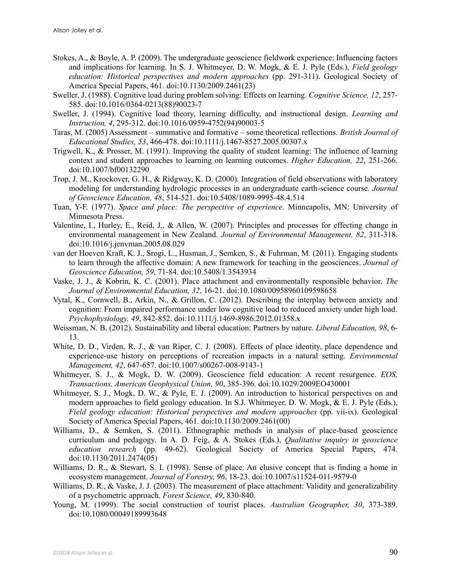- Stokes, A., & Boyle, A. P. (2009). The undergraduate geoscience fieldwork experience: Influencing factors and implications for learning. In S. J. Whitmeyer, D. W. Mogk, & E. J. Pyle (Eds.), *Field geology education: Historical perspectives and modern approaches* (pp. 291-311). Geological Society of America Special Papers, 461. doi:10.1130/2009.2461(23)
- Sweller, J. (1988). Cognitive load during problem solving: Effects on learning. *Cognitive Science, 12*, 257- 585. doi:10.1016/0364-0213(88)90023-7
- Sweller, J. (1994). Cognitive load theory, learning difficulty, and instructional design. *Learning and Instruction, 4*, 295-312. doi:10.1016/0959-4752(94)90003-5
- Taras, M. (2005) Assessment summative and formative some theoretical reflections. *British Journal of Educational Studies, 53*, 466-478. doi:10.1111/j.1467-8527.2005.00307.x
- Trigwell, K., & Prosser, M. (1991). Improving the quality of student learning: The influence of learning context and student approaches to learning on learning outcomes. *Higher Education, 22*, 251-266. doi:10.1007/bf00132290
- Trop, J. M., Krockover, G. H., & Ridgway, K. D. (2000). Integration of field observations with laboratory modeling for understanding hydrologic processes in an undergraduate earth-science course. *Journal of Geoscience Education, 48*, 514-521. doi:10.5408/1089-9995-48.4.514
- Tuan, Y-F. (1977). *Space and place: The perspective of experience*. Minneapolis, MN: University of Minnesota Press.
- Valentine, I., Hurley, E., Reid, J., & Allen, W. (2007). Principles and processes for effecting change in environmental management in New Zealand. *Journal of Environmental Management, 82*, 311-318. doi:10.1016/j.jenvman.2005.08.029
- van der Hoeven Kraft, K. J., Srogi, L., Husman, J., Semken, S., & Fuhrman, M. (2011). Engaging students to learn through the affective domain: A new framework for teaching in the geosciences. *Journal of Geoscience Education, 59*, 71-84. doi:10.5408/1.3543934
- Vaske, J. J., & Kobrin, K. C. (2001). Place attachment and environmentally responsible behavior. *The Journal of Environmental Education, 32*, 16-21. doi:10.1080/00958960109598658
- Vytal, K., Cornwell, B., Arkin, N., & Grillon, C. (2012). Describing the interplay between anxiety and cognition: From impaired performance under low cognitive load to reduced anxiety under high load. *Psychophysiology, 49*, 842-852. doi:10.1111/j.1469-8986.2012.01358.x
- Weissman, N. B. (2012). Sustainability and liberal education: Partners by nature. *Liberal Education, 98*, 6- 13.
- White, D. D., Virden, R. J., & van Riper, C. J. (2008). Effects of place identity, place dependence and experience-use history on perceptions of recreation impacts in a natural setting. *Environmental Management, 42*, 647-657. doi:10.1007/s00267-008-9143-1
- Whitmeyer, S. J., & Mogk, D. W. (2009). Geoscience field education: A recent resurgence. *EOS, Transactions, American Geophysical Union, 90*, 385-396. doi:10.1029/2009EO430001
- Whitmeyer, S. J., Mogk, D. W., & Pyle, E. J. (2009). An introduction to historical perspectives on and modern approaches to field geology education. In S.J. Whitmeyer, D. W. Mogk, & E. J. Pyle (Eds.), *Field geology education: Historical perspectives and modern approaches* (pp. vii-ix). Geological Society of America Special Papers, 461. doi:10.1130/2009.2461(00)
- Williams, D., & Semken, S. (2011). Ethnographic methods in analysis of place-based geoscience curriculum and pedagogy. In A. D. Feig, & A. Stokes (Eds.), *Qualitative inquiry in geoscience education research* (pp. 49-62). Geological Society of America Special Papers, 474. doi:10.1130/2011.2474(05)
- Williams, D. R., & Stewart, S. I. (1998). Sense of place: An elusive concept that is finding a home in ecosystem management. *Journal of Forestry, 96*, 18-23. doi:10.1007/s11524-011-9579-0
- Williams, D. R., & Vaske, J. J. (2003). The measurement of place attachment: Validity and generalizability of a psychometric approach. *Forest Science, 49*, 830-840.
- Young, M. (1999). The social construction of tourist places. *Australian Geographer, 30*, 373-389. doi:10.1080/00049189993648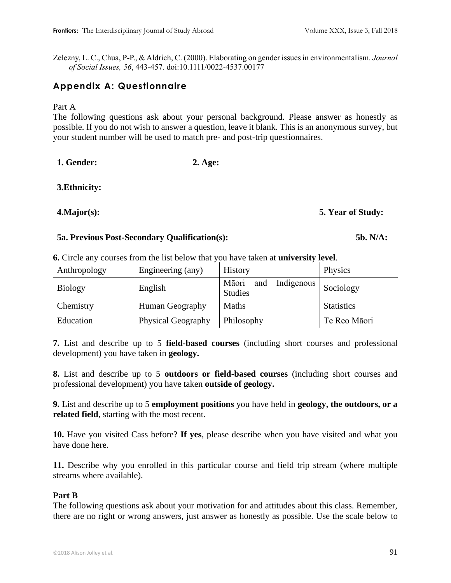Zelezny, L. C., Chua, P-P., & Aldrich, C. (2000). Elaborating on gender issues in environmentalism. *Journal of Social Issues, 56*, 443-457. doi:10.1111/0022-4537.00177

## **Appendix A: Questionnaire**

#### Part A

The following questions ask about your personal background. Please answer as honestly as possible. If you do not wish to answer a question, leave it blank. This is an anonymous survey, but your student number will be used to match pre- and post-trip questionnaires.

**1. Gender: 2. Age:**

**3.Ethnicity:**

#### **4.Major(s): 5. Year of Study:**

#### **5a. Previous Post-Secondary Qualification(s): 5b. N/A:**

**6.** Circle any courses from the list below that you have taken at **university level**.

| Anthropology   | Engineering (any)         | <b>History</b>                               | Physics           |
|----------------|---------------------------|----------------------------------------------|-------------------|
| <b>Biology</b> | English                   | Māori<br>Indigenous<br>and<br><b>Studies</b> | Sociology         |
| Chemistry      | Human Geography           | Maths                                        | <b>Statistics</b> |
| Education      | <b>Physical Geography</b> | Philosophy                                   | Te Reo Māori      |

**7.** List and describe up to 5 **field-based courses** (including short courses and professional development) you have taken in **geology.**

**8.** List and describe up to 5 **outdoors or field-based courses** (including short courses and professional development) you have taken **outside of geology.**

**9.** List and describe up to 5 **employment positions** you have held in **geology, the outdoors, or a related field**, starting with the most recent.

**10.** Have you visited Cass before? **If yes**, please describe when you have visited and what you have done here.

**11.** Describe why you enrolled in this particular course and field trip stream (where multiple streams where available).

#### **Part B**

The following questions ask about your motivation for and attitudes about this class. Remember, there are no right or wrong answers, just answer as honestly as possible. Use the scale below to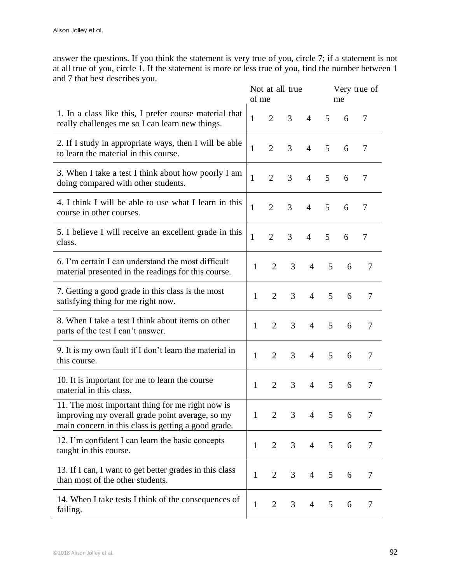answer the questions. If you think the statement is very true of you, circle 7; if a statement is not at all true of you, circle 1. If the statement is more or less true of you, find the number between 1 and 7 that best describes you.

|                                                                                                                                                            | Not at all true<br>of me |                | Very true of<br>me |                |                |     |                |
|------------------------------------------------------------------------------------------------------------------------------------------------------------|--------------------------|----------------|--------------------|----------------|----------------|-----|----------------|
| 1. In a class like this, I prefer course material that<br>really challenges me so I can learn new things.                                                  | $\mathbf{1}$             | $\overline{2}$ | 3                  | $\overline{4}$ | 5              | 6   | 7              |
| 2. If I study in appropriate ways, then I will be able<br>to learn the material in this course.                                                            | $\mathbf{1}$             | $\overline{2}$ | 3                  | $\overline{4}$ | 5              | 6   | $\overline{7}$ |
| 3. When I take a test I think about how poorly I am<br>doing compared with other students.                                                                 | $\mathbf{1}$             | $\overline{2}$ | 3                  | $\overline{4}$ | 5              | 6   | 7              |
| 4. I think I will be able to use what I learn in this<br>course in other courses.                                                                          | $\mathbf{1}$             | $\overline{2}$ | 3                  | $\overline{4}$ | 5              | 6   | 7              |
| 5. I believe I will receive an excellent grade in this<br>class.                                                                                           | $\mathbf{1}$             | $\overline{2}$ | 3                  | $\overline{4}$ | 5              | 6   | 7              |
| 6. I'm certain I can understand the most difficult<br>material presented in the readings for this course.                                                  | 1                        | $\overline{2}$ | 3                  | $\overline{4}$ | 5              | 6   | 7              |
| 7. Getting a good grade in this class is the most<br>satisfying thing for me right now.                                                                    | 1                        | $\overline{2}$ | 3                  | $\overline{4}$ | 5              | 6   | $\overline{7}$ |
| 8. When I take a test I think about items on other<br>parts of the test I can't answer.                                                                    | 1                        | $\overline{2}$ | 3                  | $\overline{4}$ | 5              | 6   | $\overline{7}$ |
| 9. It is my own fault if I don't learn the material in<br>this course.                                                                                     | $\mathbf{1}$             | $\overline{2}$ | 3                  | $\overline{4}$ | 5              | 6   | 7              |
| 10. It is important for me to learn the course<br>material in this class.                                                                                  | 1                        | $\overline{2}$ | 3                  | $\overline{4}$ | 5              | 6   | 7              |
| 11. The most important thing for me right now is<br>improving my overall grade point average, so my<br>main concern in this class is getting a good grade. | $\mathbf{1}$             | 2              | $\mathfrak{Z}$     | $\overline{4}$ | 5 <sup>5</sup> | - 6 | 7              |
| 12. I'm confident I can learn the basic concepts<br>taught in this course.                                                                                 | $\mathbf{1}$             | $\overline{2}$ | 3                  | $\overline{4}$ | $\mathfrak{S}$ | 6   | 7              |
| 13. If I can, I want to get better grades in this class<br>than most of the other students.                                                                | 1                        | $\overline{2}$ | 3                  | $\overline{4}$ | 5              | 6   | 7              |
| 14. When I take tests I think of the consequences of<br>failing.                                                                                           | $\mathbf{1}$             | $\overline{2}$ | 3                  | $\overline{4}$ | 5              | 6   | 7              |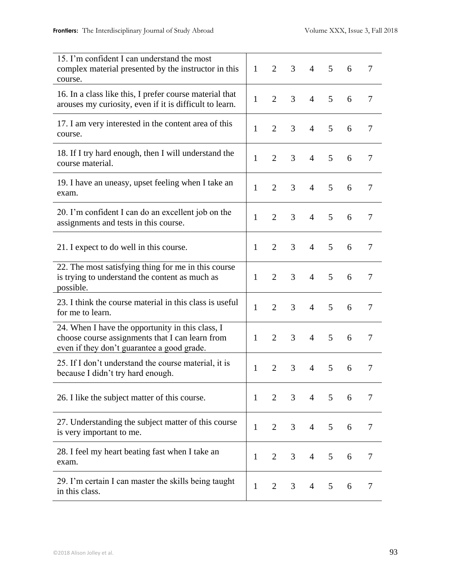| 15. I'm confident I can understand the most<br>complex material presented by the instructor in this<br>course.                                    | $\mathbf{1}$ | 2              | 3              | $\overline{4}$ | 5               | 6 | 7 |
|---------------------------------------------------------------------------------------------------------------------------------------------------|--------------|----------------|----------------|----------------|-----------------|---|---|
| 16. In a class like this, I prefer course material that<br>arouses my curiosity, even if it is difficult to learn.                                | $\mathbf{1}$ | $\overline{2}$ | 3              | $\overline{4}$ | 5               | 6 | 7 |
| 17. I am very interested in the content area of this<br>course.                                                                                   | $\mathbf{1}$ | $\overline{2}$ | 3              | $\overline{4}$ | 5               | 6 | 7 |
| 18. If I try hard enough, then I will understand the<br>course material.                                                                          | $\mathbf{1}$ | $\overline{2}$ | 3              | 4              | 5               | 6 | 7 |
| 19. I have an uneasy, upset feeling when I take an<br>exam.                                                                                       | $\mathbf{1}$ | $\overline{2}$ | 3              | $\overline{4}$ | 5               | 6 | 7 |
| 20. I'm confident I can do an excellent job on the<br>assignments and tests in this course.                                                       | $\mathbf{1}$ | $\overline{2}$ | 3              | $\overline{4}$ | 5               | 6 | 7 |
| 21. I expect to do well in this course.                                                                                                           | $\mathbf{1}$ | $\overline{2}$ | 3              | $\overline{4}$ | 5               | 6 | 7 |
| 22. The most satisfying thing for me in this course<br>is trying to understand the content as much as<br>possible.                                | $\mathbf{1}$ | $\overline{2}$ | 3              | $\overline{4}$ | 5               | 6 | 7 |
| 23. I think the course material in this class is useful<br>for me to learn.                                                                       | $\mathbf{1}$ | $\overline{2}$ | 3              | $\overline{4}$ | 5               | 6 | 7 |
| 24. When I have the opportunity in this class, I<br>choose course assignments that I can learn from<br>even if they don't guarantee a good grade. | $\mathbf{1}$ | $\overline{2}$ | 3              | $\overline{4}$ | 5               | 6 | 7 |
| 25. If I don't understand the course material, it is<br>because I didn't try hard enough.                                                         | $\mathbf{1}$ | $\overline{2}$ | 3              | 4              | 5               | 6 | 7 |
| 26. I like the subject matter of this course.                                                                                                     | $\mathbf{1}$ | 2              | 3 <sup>7</sup> | $\overline{4}$ | 5 <sup>5</sup>  | 6 | 7 |
| 27. Understanding the subject matter of this course<br>is very important to me.                                                                   | $\mathbf{1}$ | 2              | 3              | $\overline{4}$ | $5\overline{)}$ | 6 | 7 |
| 28. I feel my heart beating fast when I take an<br>exam.                                                                                          | $\mathbf{1}$ | $\overline{2}$ | 3 <sup>7</sup> | 4              | 5               | 6 | 7 |
| 29. I'm certain I can master the skills being taught<br>in this class.                                                                            | $\mathbf{1}$ | $\overline{2}$ | $\mathfrak{Z}$ | $\overline{4}$ | $5\overline{)}$ | 6 | 7 |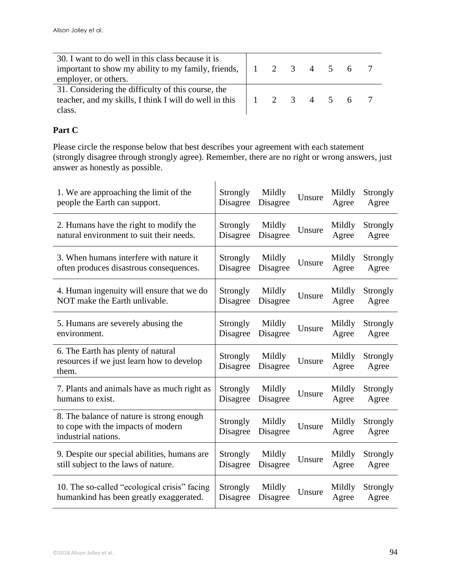| 30. I want to do well in this class because it is                                                                  |  |  |  |  |
|--------------------------------------------------------------------------------------------------------------------|--|--|--|--|
| important to show my ability to my family, friends, $\begin{array}{cccc} 1 & 2 & 3 & 4 & 5 & 6 & 7 \end{array}$    |  |  |  |  |
| employer, or others.                                                                                               |  |  |  |  |
|                                                                                                                    |  |  |  |  |
| 31. Considering the difficulty of this course, the                                                                 |  |  |  |  |
| teacher, and my skills, I think I will do well in this $\begin{array}{cccc} 1 & 2 & 3 & 4 & 5 & 6 & 7 \end{array}$ |  |  |  |  |

## **Part C**

Please circle the response below that best describes your agreement with each statement (strongly disagree through strongly agree). Remember, there are no right or wrong answers, just answer as honestly as possible.

| 1. We are approaching the limit of the                                                                 | Strongly             | Mildly             | Unsure | Mildly          | Strongly          |
|--------------------------------------------------------------------------------------------------------|----------------------|--------------------|--------|-----------------|-------------------|
| people the Earth can support.                                                                          | Disagree             | Disagree           |        | Agree           | Agree             |
| 2. Humans have the right to modify the                                                                 | Strongly             | Mildly             | Unsure | Mildly          | Strongly          |
| natural environment to suit their needs.                                                               | Disagree             | Disagree           |        | Agree           | Agree             |
| 3. When humans interfere with nature it                                                                | Strongly             | Mildly             | Unsure | Mildly          | Strongly          |
| often produces disastrous consequences.                                                                | Disagree             | Disagree           |        | Agree           | Agree             |
| 4. Human ingenuity will ensure that we do                                                              | Strongly             | Mildly             | Unsure | Mildly          | Strongly          |
| NOT make the Earth unlivable.                                                                          | Disagree             | Disagree           |        | Agree           | Agree             |
| 5. Humans are severely abusing the                                                                     | Strongly             | Mildly             | Unsure | Mildly          | Strongly          |
| environment.                                                                                           | Disagree             | Disagree           |        | Agree           | Agree             |
| 6. The Earth has plenty of natural<br>resources if we just learn how to develop<br>them.               | Strongly<br>Disagree | Mildly<br>Disagree | Unsure | Mildly<br>Agree | Strongly<br>Agree |
| 7. Plants and animals have as much right as                                                            | Strongly             | Mildly             | Unsure | Mildly          | Strongly          |
| humans to exist.                                                                                       | Disagree             | Disagree           |        | Agree           | Agree             |
| 8. The balance of nature is strong enough<br>to cope with the impacts of modern<br>industrial nations. | Strongly<br>Disagree | Mildly<br>Disagree | Unsure | Mildly<br>Agree | Strongly<br>Agree |
| 9. Despite our special abilities, humans are                                                           | Strongly             | Mildly             | Unsure | Mildly          | Strongly          |
| still subject to the laws of nature.                                                                   | Disagree             | Disagree           |        | Agree           | Agree             |
| 10. The so-called "ecological crisis" facing                                                           | Strongly             | Mildly             | Unsure | Mildly          | Strongly          |
| humankind has been greatly exaggerated.                                                                | Disagree             | Disagree           |        | Agree           | Agree             |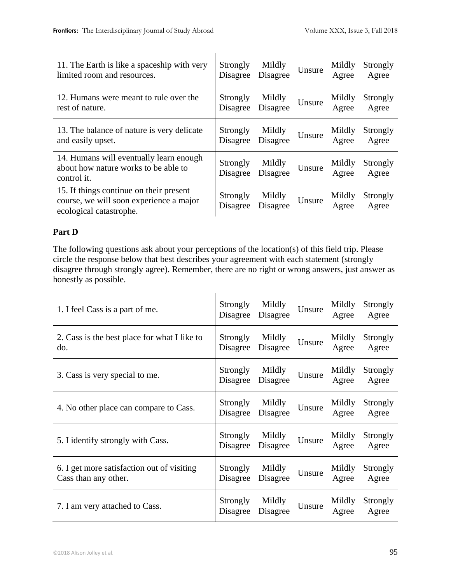| 11. The Earth is like a spaceship with very                                                                   | Strongly             | Mildly             | Unsure | Mildly          | Strongly          |
|---------------------------------------------------------------------------------------------------------------|----------------------|--------------------|--------|-----------------|-------------------|
| limited room and resources.                                                                                   | Disagree             | Disagree           |        | Agree           | Agree             |
| 12. Humans were meant to rule over the                                                                        | Strongly             | Mildly             | Unsure | Mildly          | Strongly          |
| rest of nature.                                                                                               | Disagree             | Disagree           |        | Agree           | Agree             |
| 13. The balance of nature is very delicate                                                                    | Strongly             | Mildly             | Unsure | Mildly          | Strongly          |
| and easily upset.                                                                                             | Disagree             | Disagree           |        | Agree           | Agree             |
| 14. Humans will eventually learn enough<br>about how nature works to be able to<br>control it.                | Strongly<br>Disagree | Mildly<br>Disagree | Unsure | Mildly<br>Agree | Strongly<br>Agree |
| 15. If things continue on their present<br>course, we will soon experience a major<br>ecological catastrophe. | Strongly<br>Disagree | Mildly<br>Disagree | Unsure | Mildly<br>Agree | Strongly<br>Agree |

## **Part D**

The following questions ask about your perceptions of the location(s) of this field trip. Please circle the response below that best describes your agreement with each statement (strongly disagree through strongly agree). Remember, there are no right or wrong answers, just answer as honestly as possible.

| 1. I feel Cass is a part of me.                                    | Strongly<br>Disagree | Mildly<br>Disagree | Unsure | Mildly<br>Agree | Strongly<br>Agree |
|--------------------------------------------------------------------|----------------------|--------------------|--------|-----------------|-------------------|
| 2. Cass is the best place for what I like to<br>do.                | Strongly<br>Disagree | Mildly<br>Disagree | Unsure | Mildly<br>Agree | Strongly<br>Agree |
| 3. Cass is very special to me.                                     | Strongly<br>Disagree | Mildly<br>Disagree | Unsure | Mildly<br>Agree | Strongly<br>Agree |
| 4. No other place can compare to Cass.                             | Strongly<br>Disagree | Mildly<br>Disagree | Unsure | Mildly<br>Agree | Strongly<br>Agree |
| 5. I identify strongly with Cass.                                  | Strongly<br>Disagree | Mildly<br>Disagree | Unsure | Mildly<br>Agree | Strongly<br>Agree |
| 6. I get more satisfaction out of visiting<br>Cass than any other. | Strongly<br>Disagree | Mildly<br>Disagree | Unsure | Mildly<br>Agree | Strongly<br>Agree |
| 7. I am very attached to Cass.                                     | Strongly<br>Disagree | Mildly<br>Disagree | Unsure | Mildly<br>Agree | Strongly<br>Agree |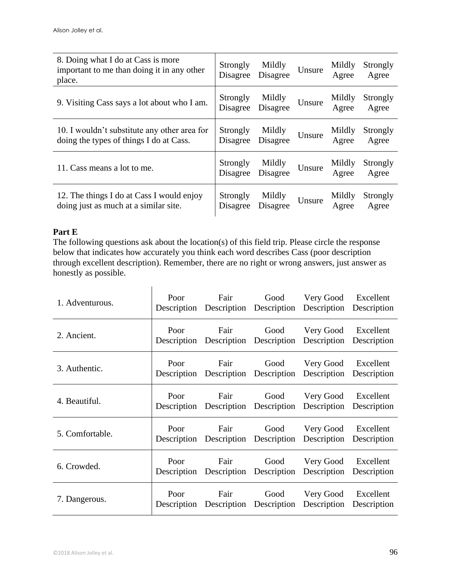| 8. Doing what I do at Cass is more<br>important to me than doing it in any other<br>place. | Strongly<br>Disagree | Mildly<br>Disagree | Unsure | Mildly<br>Agree | Strongly<br>Agree |
|--------------------------------------------------------------------------------------------|----------------------|--------------------|--------|-----------------|-------------------|
| 9. Visiting Cass says a lot about who I am.                                                | Strongly<br>Disagree | Mildly<br>Disagree | Unsure | Mildly<br>Agree | Strongly<br>Agree |
| 10. I wouldn't substitute any other area for<br>doing the types of things I do at Cass.    | Strongly<br>Disagree | Mildly<br>Disagree | Unsure | Mildly<br>Agree | Strongly<br>Agree |
| 11. Cass means a lot to me.                                                                | Strongly<br>Disagree | Mildly<br>Disagree | Unsure | Mildly<br>Agree | Strongly<br>Agree |
| 12. The things I do at Cass I would enjoy<br>doing just as much at a similar site.         | Strongly<br>Disagree | Mildly<br>Disagree | Unsure | Mildly<br>Agree | Strongly<br>Agree |

## **Part E**

The following questions ask about the location(s) of this field trip. Please circle the response below that indicates how accurately you think each word describes Cass (poor description through excellent description). Remember, there are no right or wrong answers, just answer as honestly as possible.

| 1. Adventurous. | Poor | Description Description Description         | Fair Good | Very Good Excellent<br>Description Description |                          |
|-----------------|------|---------------------------------------------|-----------|------------------------------------------------|--------------------------|
| 2. Ancient.     | Poor | Fair<br>Description Description Description | Good      | Very Good<br>Description                       | Excellent<br>Description |
| 3. Authentic.   | Poor | Fair<br>Description Description Description | Good      | Very Good<br>Description                       | Excellent<br>Description |
| 4. Beautiful.   | Poor | Fair<br>Description Description Description | Good      | Very Good<br>Description Description           | Excellent                |
| 5. Comfortable. | Poor | Fair<br>Description Description Description | Good      | Very Good<br>Description Description           | Excellent                |
| 6. Crowded.     | Poor | Fair<br>Description Description Description | Good      | Very Good<br>Description Description           | Excellent                |
| 7. Dangerous.   | Poor | Fair<br>Description Description Description | Good      | Very Good<br>Description Description           | Excellent                |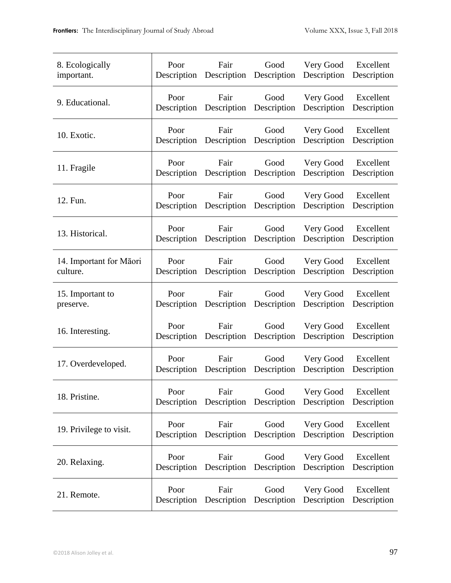| 8. Ecologically         | Poor                | Fair                                        | Good        | Very Good                | Excellent                |
|-------------------------|---------------------|---------------------------------------------|-------------|--------------------------|--------------------------|
| important.              | Description         | Description                                 | Description | Description              | Description              |
| 9. Educational.         | Poor                | Fair                                        | Good        | Very Good                | Excellent                |
|                         | Description         | Description                                 | Description | Description              | Description              |
| 10. Exotic.             | Poor                | Fair                                        | Good        | Very Good                | Excellent                |
|                         | Description         | Description                                 | Description | Description              | Description              |
| 11. Fragile             | Poor                | Fair<br>Description Description Description | Good        | Very Good<br>Description | Excellent<br>Description |
| 12. Fun.                | Poor                | Fair                                        | Good        | Very Good                | Excellent                |
|                         | Description         | Description                                 | Description | Description              | Description              |
| 13. Historical.         | Poor<br>Description | Fair<br>Description Description             | Good        | Very Good<br>Description | Excellent<br>Description |
| 14. Important for Māori | Poor                | Fair                                        | Good        | Very Good                | Excellent                |
| culture.                | Description         | Description                                 | Description | Description              | Description              |
| 15. Important to        | Poor                | Fair                                        | Good        | Very Good                | Excellent                |
| preserve.               | Description         | Description                                 | Description | Description              | Description              |
| 16. Interesting.        | Poor                | Fair<br>Description Description Description | Good        | Very Good<br>Description | Excellent<br>Description |
| 17. Overdeveloped.      | Poor                | Fair                                        | Good        | Very Good                | Excellent                |
|                         | Description         | Description                                 | Description | Description              | Description              |
| 18. Pristine.           | Poor                | Fair                                        | Good        | Very Good                | Excellent                |
|                         | Description         | Description                                 | Description | Description              | Description              |
| 19. Privilege to visit. | Poor                | Fair                                        | Good        | Very Good                | Excellent                |
|                         | Description         | Description                                 | Description | Description              | Description              |
| 20. Relaxing.           | Poor                | Fair                                        | Good        | Very Good                | Excellent                |
|                         | Description         | Description                                 | Description | Description              | Description              |
| 21. Remote.             | Poor                | Fair                                        | Good        | Very Good                | Excellent                |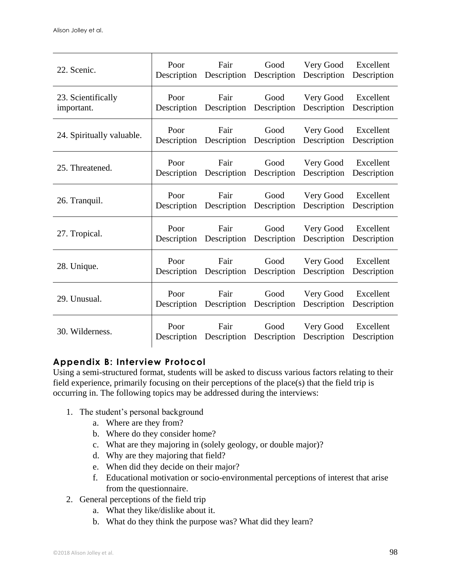| 22. Scenic.                      | Poor | Fair<br>Description Description Description | Good | Very Good<br>Description           | Excellent<br>Description |
|----------------------------------|------|---------------------------------------------|------|------------------------------------|--------------------------|
| 23. Scientifically<br>important. | Poor | Fair<br>Description Description Description | Good | Very Good Excellent<br>Description | Description              |
| 24. Spiritually valuable.        | Poor | Fair<br>Description Description Description | Good | Very Good<br>Description           | Excellent<br>Description |
| 25. Threatened.                  | Poor | Fair<br>Description Description Description | Good | Very Good<br>Description           | Excellent<br>Description |
| 26. Tranquil.                    | Poor | Fair<br>Description Description Description | Good | Very Good<br>Description           | Excellent<br>Description |
| 27. Tropical.                    | Poor | Fair<br>Description Description Description | Good | Very Good<br>Description           | Excellent<br>Description |
| 28. Unique.                      | Poor | Fair<br>Description Description Description | Good | Very Good Excellent<br>Description | Description              |
| 29. Unusual.                     | Poor | Fair<br>Description Description Description | Good | Very Good<br>Description           | Excellent<br>Description |
| 30. Wilderness.                  | Poor | Fair<br>Description Description Description | Good | Very Good<br>Description           | Excellent<br>Description |

## **Appendix B: Interview Protocol**

Using a semi-structured format, students will be asked to discuss various factors relating to their field experience, primarily focusing on their perceptions of the place(s) that the field trip is occurring in. The following topics may be addressed during the interviews:

- 1. The student's personal background
	- a. Where are they from?
	- b. Where do they consider home?
	- c. What are they majoring in (solely geology, or double major)?
	- d. Why are they majoring that field?
	- e. When did they decide on their major?
	- f. Educational motivation or socio-environmental perceptions of interest that arise from the questionnaire.
- 2. General perceptions of the field trip
	- a. What they like/dislike about it.
	- b. What do they think the purpose was? What did they learn?